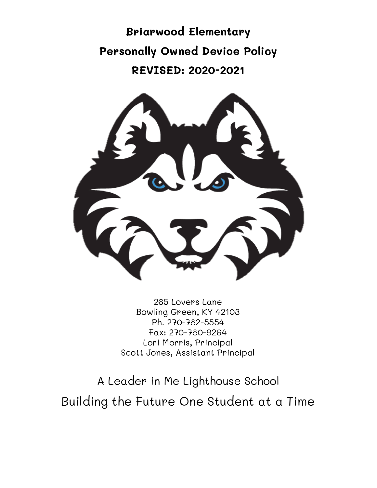**Briarwood Elementary Personally Owned Device Policy REVISED: 2020-2021**



265 Lovers Lane Bowling Green, KY 42103 Ph. 270-782-5554 Fax: 270-780-9264 Lori Morris, Principal Scott Jones, Assistant Principal

A Leader in Me Lighthouse School Building the Future One Student at a Time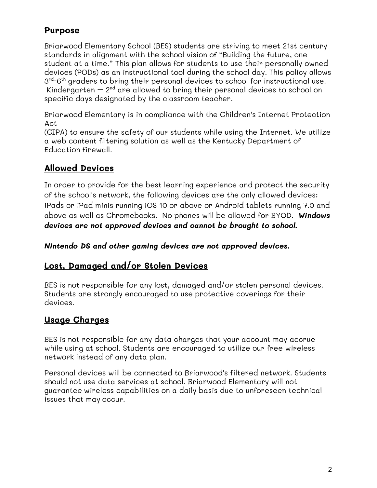### **Purpose**

Briarwood Elementary School (BES) students are striving to meet 21st century standards in alignment with the school vision of "Building the future, one student at a time." This plan allows for students to use their personally owned devices (PODs) as an instructional tool during the school day. This policy allows  $3^{\text{rd}}$ -6<sup>th</sup> graders to bring their personal devices to school for instructional use. Kindergarten – 2nd are allowed to bring their personal devices to school on specific days designated by the classroom teacher.

Briarwood Elementary is in compliance with the Children's Internet Protection Act

(CIPA) to ensure the safety of our students while using the Internet. We utilize a web content filtering solution as well as the Kentucky Department of Education firewall.

## **Allowed Devices**

In order to provide for the best learning experience and protect the security of the school's network, the following devices are the only allowed devices: iPads or iPad minis running iOS 10 or above or Android tablets running 7.0 and above as well as Chromebooks. No phones will be allowed for BYOD. *Windows devices are not approved devices and cannot be brought to school.*

*Nintendo DS and other gaming devices are not approved devices.*

### **Lost, Damaged and/or Stolen Devices**

BES is not responsible for any lost, damaged and/or stolen personal devices. Students are strongly encouraged to use protective coverings for their devices.

### **Usage Charges**

BES is not responsible for any data charges that your account may accrue while using at school. Students are encouraged to utilize our free wireless network instead of any data plan.

Personal devices will be connected to Briarwood's filtered network. Students should not use data services at school. Briarwood Elementary will not guarantee wireless capabilities on a daily basis due to unforeseen technical issues that may occur.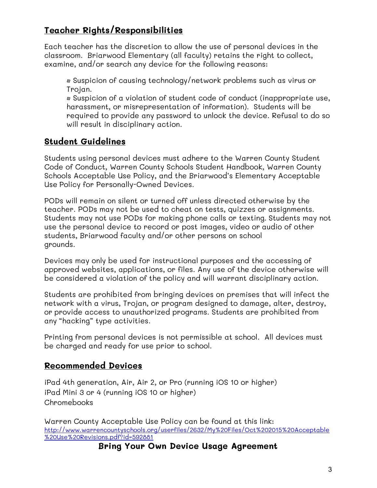# **Teacher Rights/Responsibilities**

Each teacher has the discretion to allow the use of personal devices in the classroom. Briarwood Elementary (all faculty) retains the right to collect, examine, and/or search any device for the following reasons:

• Suspicion of causing technology/network problems such as virus or Trojan.

• Suspicion of a violation of student code of conduct (inappropriate use, harassment, or misrepresentation of information). Students will be required to provide any password to unlock the device. Refusal to do so will result in disciplinary action.

# **Student Guidelines**

Students using personal devices must adhere to the Warren County Student Code of Conduct, Warren County Schools Student Handbook, Warren County Schools Acceptable Use Policy, and the Briarwood's Elementary Acceptable Use Policy for Personally-Owned Devices.

PODs will remain on silent or turned off unless directed otherwise by the teacher. PODs may not be used to cheat on tests, quizzes or assignments. Students may not use PODs for making phone calls or texting. Students may not use the personal device to record or post images, video or audio of other students, Briarwood faculty and/or other persons on school grounds.

Devices may only be used for instructional purposes and the accessing of approved websites, applications, or files. Any use of the device otherwise will be considered a violation of the policy and will warrant disciplinary action.

Students are prohibited from bringing devices on premises that will infect the network with a virus, Trojan, or program designed to damage, alter, destroy, or provide access to unauthorized programs. Students are prohibited from any "hacking" type activities.

Printing from personal devices is not permissible at school. All devices must be charged and ready for use prior to school.

## **Recommended Devices**

iPad 4th generation, Air, Air 2, or Pro (running iOS 10 or higher) iPad Mini 3 or 4 (running iOS 10 or higher) Chromebooks

Warren County Acceptable Use Policy can be found at this link: [http://www.warrencountyschools.org/userfiles/2632/My%20Files/Oct%202015%20Acceptable](http://www.warrencountyschools.org/userfiles/2632/My%20Files/Oct%202015%20Acceptable%20Use%20Revisions.pdf?id=592881) [%20Use%20Revisions.pdf?id=592881](http://www.warrencountyschools.org/userfiles/2632/My%20Files/Oct%202015%20Acceptable%20Use%20Revisions.pdf?id=592881)

**Bring Your Own Device Usage Agreement**